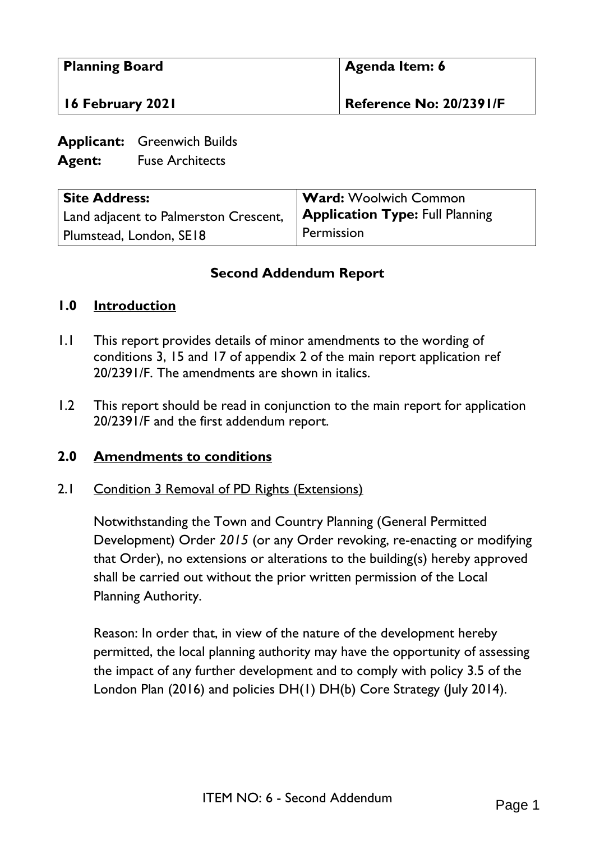| <b>Planning Board</b> | Agenda Item: 6          |
|-----------------------|-------------------------|
| 16 February 2021      | Reference No: 20/2391/F |

**Applicant:** Greenwich Builds

**Agent:** Fuse Architects

| <b>Site Address:</b>                  | <b>Ward:</b> Woolwich Common           |
|---------------------------------------|----------------------------------------|
| Land adjacent to Palmerston Crescent, | <b>Application Type: Full Planning</b> |
| Plumstead, London, SE18               | Permission                             |

# **Second Addendum Report**

# **1.0 Introduction**

- 1.1 This report provides details of minor amendments to the wording of conditions 3, 15 and 17 of appendix 2 of the main report application ref 20/2391/F. The amendments are shown in italics.
- 1.2 This report should be read in conjunction to the main report for application 20/2391/F and the first addendum report.

### **2.0 Amendments to conditions**

### 2.1 Condition 3 Removal of PD Rights (Extensions)

Notwithstanding the Town and Country Planning (General Permitted Development) Order *2015* (or any Order revoking, re-enacting or modifying that Order), no extensions or alterations to the building(s) hereby approved shall be carried out without the prior written permission of the Local Planning Authority.

Reason: In order that, in view of the nature of the development hereby permitted, the local planning authority may have the opportunity of assessing the impact of any further development and to comply with policy 3.5 of the London Plan (2016) and policies DH(1) DH(b) Core Strategy (July 2014).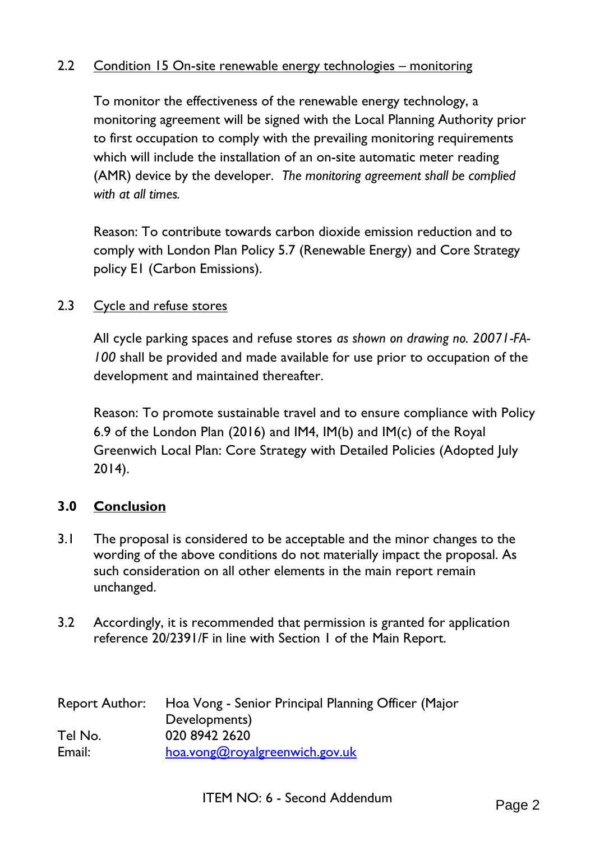# 2.2 Condition 15 On-site renewable energy technologies – monitoring

To monitor the effectiveness of the renewable energy technology, a monitoring agreement will be signed with the Local Planning Authority prior to first occupation to comply with the prevailing monitoring requirements which will include the installation of an on-site automatic meter reading (AMR) device by the developer. *The monitoring agreement shall be complied with at all times.*

Reason: To contribute towards carbon dioxide emission reduction and to comply with London Plan Policy 5.7 (Renewable Energy) and Core Strategy policy E1 (Carbon Emissions).

#### 2.3 Cycle and refuse stores

All cycle parking spaces and refuse stores *as shown on drawing no. 20071-FA-100* shall be provided and made available for use prior to occupation of the development and maintained thereafter.

Reason: To promote sustainable travel and to ensure compliance with Policy 6.9 of the London Plan (2016) and IM4, IM(b) and IM(c) of the Royal Greenwich Local Plan: Core Strategy with Detailed Policies (Adopted July 2014).

#### **3.0 Conclusion**

- 3.1 The proposal is considered to be acceptable and the minor changes to the wording of the above conditions do not materially impact the proposal. As such consideration on all other elements in the main report remain unchanged.
- 3.2 Accordingly, it is recommended that permission is granted for application reference 20/2391/F in line with Section 1 of the Main Report.

| <b>Report Author:</b> | Hoa Vong - Senior Principal Planning Officer (Major |
|-----------------------|-----------------------------------------------------|
|                       | Developments)                                       |
| Tel No.               | 020 8942 2620                                       |
| Email:                | hoa.vong@royalgreenwich.gov.uk                      |